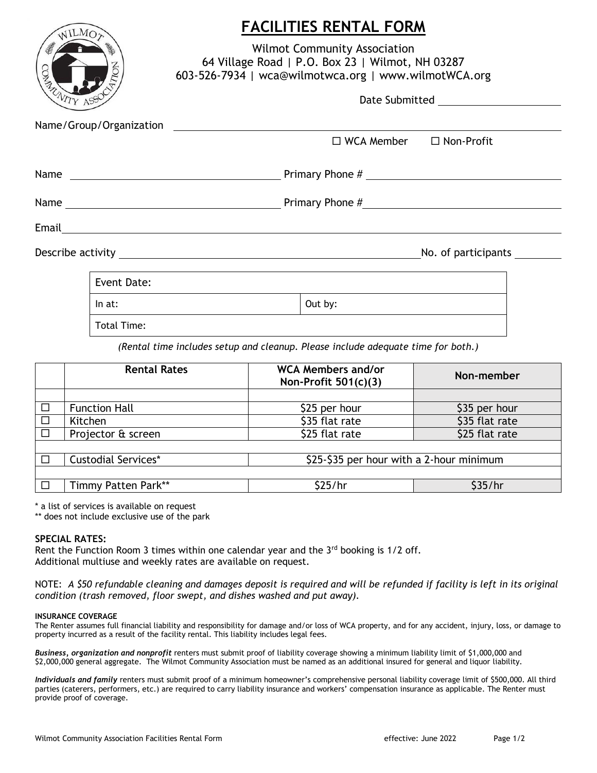| WILMOT                                  | <b>FACILITIES RENTAL FORM</b>                                                                                                                   |  |  |  |  |
|-----------------------------------------|-------------------------------------------------------------------------------------------------------------------------------------------------|--|--|--|--|
| ONDO                                    | <b>Wilmot Community Association</b><br>64 Village Road   P.O. Box 23   Wilmot, NH 03287<br>603-526-7934   wca@wilmotwca.org   www.wilmotWCA.org |  |  |  |  |
|                                         |                                                                                                                                                 |  |  |  |  |
|                                         |                                                                                                                                                 |  |  |  |  |
|                                         | $\Box$ WCA Member $\Box$ Non-Profit                                                                                                             |  |  |  |  |
| Name $\qquad \qquad$ Primary Phone $\#$ |                                                                                                                                                 |  |  |  |  |
|                                         |                                                                                                                                                 |  |  |  |  |
|                                         |                                                                                                                                                 |  |  |  |  |
| No. of participants                     |                                                                                                                                                 |  |  |  |  |
| Event Date:                             |                                                                                                                                                 |  |  |  |  |
| In $at:$                                | Out by:                                                                                                                                         |  |  |  |  |
| Total Time:                             |                                                                                                                                                 |  |  |  |  |
|                                         | (Rental time includes setup and cleanup. Please include adequate time for both.)                                                                |  |  |  |  |

|        | <b>Rental Rates</b>        | <b>WCA Members and/or</b><br>Non-Profit $501(c)(3)$ | Non-member     |
|--------|----------------------------|-----------------------------------------------------|----------------|
|        |                            |                                                     |                |
| $\Box$ | <b>Function Hall</b>       | \$25 per hour                                       | \$35 per hour  |
| $\Box$ | Kitchen                    | \$35 flat rate                                      | \$35 flat rate |
| $\Box$ | Projector & screen         | \$25 flat rate                                      | \$25 flat rate |
|        |                            |                                                     |                |
|        | <b>Custodial Services*</b> | \$25-\$35 per hour with a 2-hour minimum            |                |
|        |                            |                                                     |                |
|        | Timmy Patten Park**        | \$25/hr                                             | \$35/hr        |

\* a list of services is available on request

\*\* does not include exclusive use of the park

## **SPECIAL RATES:**

Rent the Function Room 3 times within one calendar year and the  $3<sup>rd</sup>$  booking is 1/2 off. Additional multiuse and weekly rates are available on request.

NOTE: *A \$50 refundable cleaning and damages deposit is required and will be refunded if facility is left in its original condition (trash removed, floor swept, and dishes washed and put away).*

## **INSURANCE COVERAGE**

The Renter assumes full financial liability and responsibility for damage and/or loss of WCA property, and for any accident, injury, loss, or damage to property incurred as a result of the facility rental. This liability includes legal fees.

*Business, organization and nonprofit* renters must submit proof of liability coverage showing a minimum liability limit of \$1,000,000 and \$2,000,000 general aggregate. The Wilmot Community Association must be named as an additional insured for general and liquor liability.

*Individuals and family* renters must submit proof of a minimum homeowner's comprehensive personal liability coverage limit of \$500,000. All third parties (caterers, performers, etc.) are required to carry liability insurance and workers' compensation insurance as applicable. The Renter must provide proof of coverage.